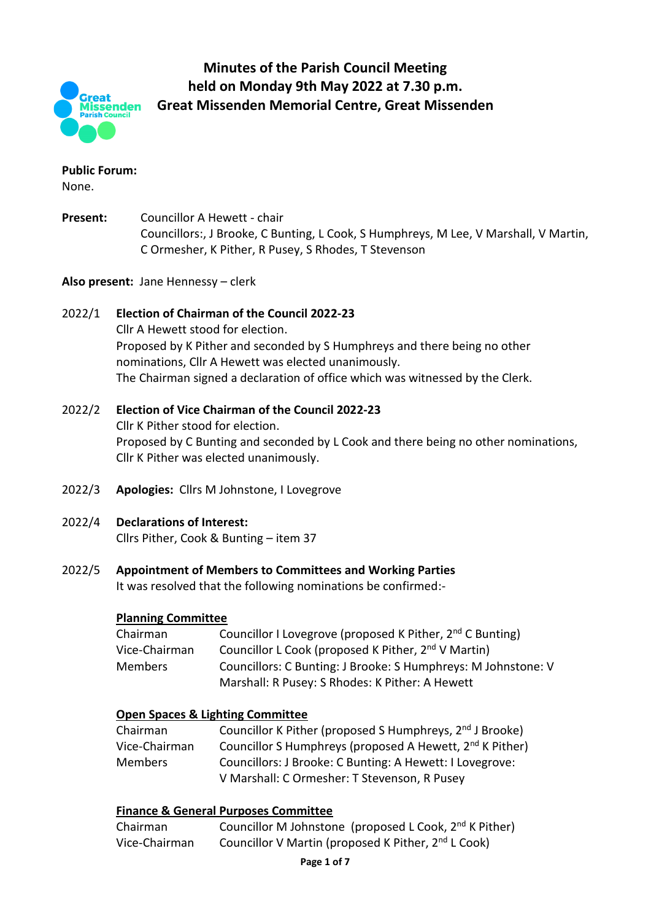

# **Minutes of the Parish Council Meeting held on Monday 9th May 2022 at 7.30 p.m. Great Missenden Memorial Centre, Great Missenden**

# **Public Forum:**

None.

**Present:** Councillor A Hewett - chair Councillors:, J Brooke, C Bunting, L Cook, S Humphreys, M Lee, V Marshall, V Martin, C Ormesher, K Pither, R Pusey, S Rhodes, T Stevenson

# **Also present:** Jane Hennessy – clerk

# 2022/1 **Election of Chairman of the Council 2022-23**

Cllr A Hewett stood for election. Proposed by K Pither and seconded by S Humphreys and there being no other nominations, Cllr A Hewett was elected unanimously. The Chairman signed a declaration of office which was witnessed by the Clerk.

#### 2022/2 **Election of Vice Chairman of the Council 2022-23** Cllr K Pither stood for election. Proposed by C Bunting and seconded by L Cook and there being no other nominations, Cllr K Pither was elected unanimously.

2022/3 **Apologies:** Cllrs M Johnstone, I Lovegrove

# 2022/4 **Declarations of Interest:**

Cllrs Pither, Cook & Bunting – item 37

2022/5 **Appointment of Members to Committees and Working Parties**

It was resolved that the following nominations be confirmed:-

# **Planning Committee**

| Chairman      | Councillor I Lovegrove (proposed K Pither, 2 <sup>nd</sup> C Bunting) |
|---------------|-----------------------------------------------------------------------|
| Vice-Chairman | Councillor L Cook (proposed K Pither, 2 <sup>nd</sup> V Martin)       |
| Members       | Councillors: C Bunting: J Brooke: S Humphreys: M Johnstone: V         |
|               | Marshall: R Pusey: S Rhodes: K Pither: A Hewett                       |

# **Open Spaces & Lighting Committee**

| Chairman      | Councillor K Pither (proposed S Humphreys, 2 <sup>nd</sup> J Brooke) |
|---------------|----------------------------------------------------------------------|
| Vice-Chairman | Councillor S Humphreys (proposed A Hewett, 2 <sup>nd</sup> K Pither) |
| Members       | Councillors: J Brooke: C Bunting: A Hewett: I Lovegrove:             |
|               | V Marshall: C Ormesher: T Stevenson, R Pusey                         |

#### **Finance & General Purposes Committee**

| Chairman      | Councillor M Johnstone (proposed L Cook, 2 <sup>nd</sup> K Pither) |
|---------------|--------------------------------------------------------------------|
| Vice-Chairman | Councillor V Martin (proposed K Pither, 2 <sup>nd</sup> L Cook)    |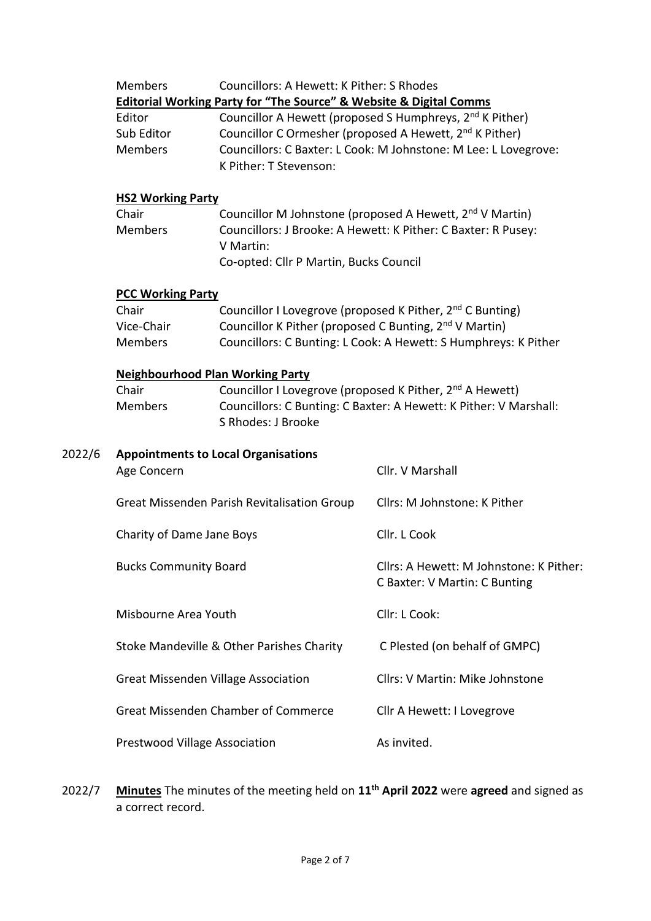|        | <b>Members</b>                                                                 | Councillors: A Hewett: K Pither: S Rhodes                                                                                                                                                                                                                                                                                     |                                                                                                                                       |  |  |  |
|--------|--------------------------------------------------------------------------------|-------------------------------------------------------------------------------------------------------------------------------------------------------------------------------------------------------------------------------------------------------------------------------------------------------------------------------|---------------------------------------------------------------------------------------------------------------------------------------|--|--|--|
|        | Editor<br>Sub Editor<br><b>Members</b>                                         | <b>Editorial Working Party for "The Source" &amp; Website &amp; Digital Comms</b><br>Councillor A Hewett (proposed S Humphreys, 2 <sup>nd</sup> K Pither)<br>Councillor C Ormesher (proposed A Hewett, 2 <sup>nd</sup> K Pither)<br>Councillors: C Baxter: L Cook: M Johnstone: M Lee: L Lovegrove:<br>K Pither: T Stevenson: |                                                                                                                                       |  |  |  |
|        | <b>HS2 Working Party</b>                                                       |                                                                                                                                                                                                                                                                                                                               |                                                                                                                                       |  |  |  |
|        | Chair<br><b>Members</b><br>V Martin:<br>Co-opted: Cllr P Martin, Bucks Council |                                                                                                                                                                                                                                                                                                                               | Councillor M Johnstone (proposed A Hewett, 2 <sup>nd</sup> V Martin)<br>Councillors: J Brooke: A Hewett: K Pither: C Baxter: R Pusey: |  |  |  |
|        | <b>PCC Working Party</b>                                                       |                                                                                                                                                                                                                                                                                                                               |                                                                                                                                       |  |  |  |
|        | Chair                                                                          |                                                                                                                                                                                                                                                                                                                               | Councillor I Lovegrove (proposed K Pither, 2 <sup>nd</sup> C Bunting)                                                                 |  |  |  |
|        | Vice-Chair                                                                     | Councillor K Pither (proposed C Bunting, 2 <sup>nd</sup> V Martin)                                                                                                                                                                                                                                                            |                                                                                                                                       |  |  |  |
|        | <b>Members</b>                                                                 |                                                                                                                                                                                                                                                                                                                               | Councillors: C Bunting: L Cook: A Hewett: S Humphreys: K Pither                                                                       |  |  |  |
|        |                                                                                | <b>Neighbourhood Plan Working Party</b>                                                                                                                                                                                                                                                                                       |                                                                                                                                       |  |  |  |
|        | Chair<br>Councillor I Lovegrove (proposed K Pither, 2 <sup>nd</sup> A Hewett)  |                                                                                                                                                                                                                                                                                                                               |                                                                                                                                       |  |  |  |
|        | <b>Members</b>                                                                 | S Rhodes: J Brooke                                                                                                                                                                                                                                                                                                            | Councillors: C Bunting: C Baxter: A Hewett: K Pither: V Marshall:                                                                     |  |  |  |
| 2022/6 | <b>Appointments to Local Organisations</b>                                     |                                                                                                                                                                                                                                                                                                                               |                                                                                                                                       |  |  |  |
|        | Age Concern                                                                    |                                                                                                                                                                                                                                                                                                                               | Cllr. V Marshall                                                                                                                      |  |  |  |
|        | Great Missenden Parish Revitalisation Group                                    |                                                                                                                                                                                                                                                                                                                               | Cllrs: M Johnstone: K Pither                                                                                                          |  |  |  |
|        | Charity of Dame Jane Boys                                                      |                                                                                                                                                                                                                                                                                                                               | Cllr. L Cook                                                                                                                          |  |  |  |
|        | <b>Bucks Community Board</b>                                                   |                                                                                                                                                                                                                                                                                                                               | Cllrs: A Hewett: M Johnstone: K Pither:<br>C Baxter: V Martin: C Bunting                                                              |  |  |  |
|        | Misbourne Area Youth                                                           |                                                                                                                                                                                                                                                                                                                               | Cllr: L Cook:                                                                                                                         |  |  |  |
|        | Stoke Mandeville & Other Parishes Charity                                      |                                                                                                                                                                                                                                                                                                                               | C Plested (on behalf of GMPC)                                                                                                         |  |  |  |
|        | <b>Great Missenden Village Association</b>                                     |                                                                                                                                                                                                                                                                                                                               | Cllrs: V Martin: Mike Johnstone                                                                                                       |  |  |  |
|        | <b>Great Missenden Chamber of Commerce</b>                                     |                                                                                                                                                                                                                                                                                                                               | Cllr A Hewett: I Lovegrove                                                                                                            |  |  |  |
|        | Prestwood Village Association                                                  |                                                                                                                                                                                                                                                                                                                               | As invited.                                                                                                                           |  |  |  |

2022/7 **Minutes** The minutes of the meeting held on **11th April 2022** were **agreed** and signed as a correct record.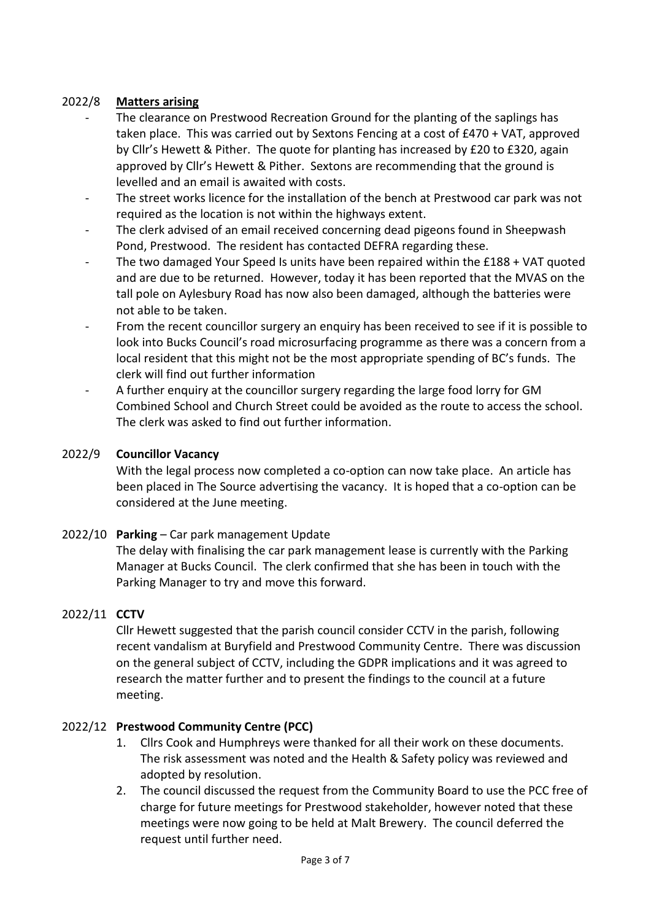#### 2022/8 **Matters arising**

- The clearance on Prestwood Recreation Ground for the planting of the saplings has taken place. This was carried out by Sextons Fencing at a cost of £470 + VAT, approved by Cllr's Hewett & Pither. The quote for planting has increased by £20 to £320, again approved by Cllr's Hewett & Pither. Sextons are recommending that the ground is levelled and an email is awaited with costs.
- The street works licence for the installation of the bench at Prestwood car park was not required as the location is not within the highways extent.
- The clerk advised of an email received concerning dead pigeons found in Sheepwash Pond, Prestwood. The resident has contacted DEFRA regarding these.
- The two damaged Your Speed Is units have been repaired within the  $£188 + VAT$  quoted and are due to be returned. However, today it has been reported that the MVAS on the tall pole on Aylesbury Road has now also been damaged, although the batteries were not able to be taken.
- From the recent councillor surgery an enquiry has been received to see if it is possible to look into Bucks Council's road microsurfacing programme as there was a concern from a local resident that this might not be the most appropriate spending of BC's funds. The clerk will find out further information
- A further enquiry at the councillor surgery regarding the large food lorry for GM Combined School and Church Street could be avoided as the route to access the school. The clerk was asked to find out further information.

#### 2022/9 **Councillor Vacancy**

With the legal process now completed a co-option can now take place. An article has been placed in The Source advertising the vacancy. It is hoped that a co-option can be considered at the June meeting.

2022/10 **Parking** – Car park management Update

The delay with finalising the car park management lease is currently with the Parking Manager at Bucks Council. The clerk confirmed that she has been in touch with the Parking Manager to try and move this forward.

#### 2022/11 **CCTV**

Cllr Hewett suggested that the parish council consider CCTV in the parish, following recent vandalism at Buryfield and Prestwood Community Centre. There was discussion on the general subject of CCTV, including the GDPR implications and it was agreed to research the matter further and to present the findings to the council at a future meeting.

#### 2022/12 **Prestwood Community Centre (PCC)**

- 1. Cllrs Cook and Humphreys were thanked for all their work on these documents. The risk assessment was noted and the Health & Safety policy was reviewed and adopted by resolution.
- 2. The council discussed the request from the Community Board to use the PCC free of charge for future meetings for Prestwood stakeholder, however noted that these meetings were now going to be held at Malt Brewery. The council deferred the request until further need.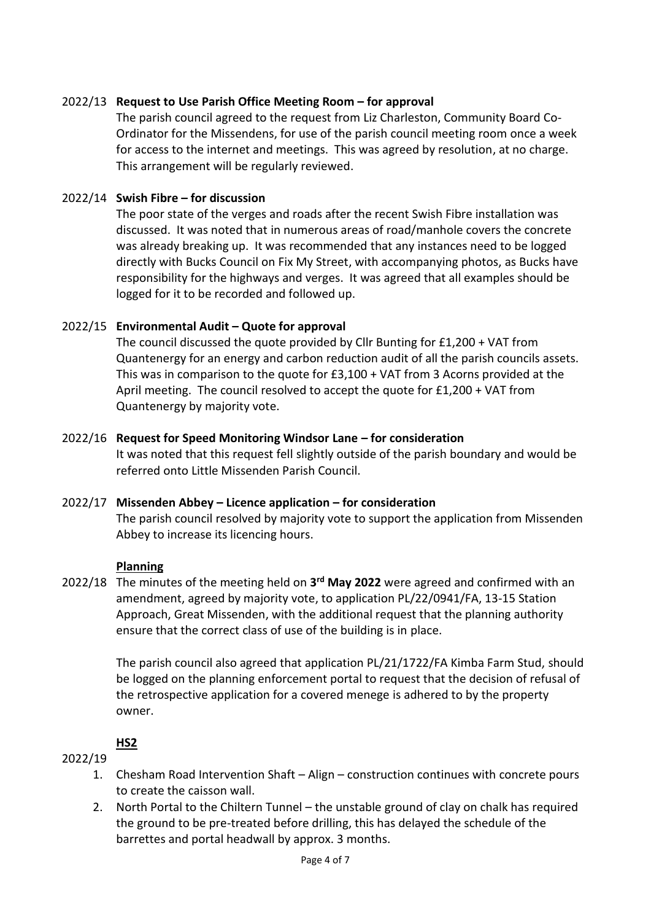#### 2022/13 **Request to Use Parish Office Meeting Room – for approval**

The parish council agreed to the request from Liz Charleston, Community Board Co-Ordinator for the Missendens, for use of the parish council meeting room once a week for access to the internet and meetings. This was agreed by resolution, at no charge. This arrangement will be regularly reviewed.

#### 2022/14 **Swish Fibre – for discussion**

The poor state of the verges and roads after the recent Swish Fibre installation was discussed. It was noted that in numerous areas of road/manhole covers the concrete was already breaking up. It was recommended that any instances need to be logged directly with Bucks Council on Fix My Street, with accompanying photos, as Bucks have responsibility for the highways and verges. It was agreed that all examples should be logged for it to be recorded and followed up.

#### 2022/15 **Environmental Audit – Quote for approval**

The council discussed the quote provided by Cllr Bunting for £1,200 + VAT from Quantenergy for an energy and carbon reduction audit of all the parish councils assets. This was in comparison to the quote for £3,100 + VAT from 3 Acorns provided at the April meeting. The council resolved to accept the quote for £1,200 + VAT from Quantenergy by majority vote.

#### 2022/16 **Request for Speed Monitoring Windsor Lane – for consideration**

It was noted that this request fell slightly outside of the parish boundary and would be referred onto Little Missenden Parish Council.

#### 2022/17 **Missenden Abbey – Licence application – for consideration**

The parish council resolved by majority vote to support the application from Missenden Abbey to increase its licencing hours.

#### **Planning**

2022/18 The minutes of the meeting held on **3 rd May 2022** were agreed and confirmed with an amendment, agreed by majority vote, to application PL/22/0941/FA, 13-15 Station Approach, Great Missenden, with the additional request that the planning authority ensure that the correct class of use of the building is in place.

> The parish council also agreed that application PL/21/1722/FA Kimba Farm Stud, should be logged on the planning enforcement portal to request that the decision of refusal of the retrospective application for a covered menege is adhered to by the property owner.

#### **HS2**

#### 2022/19

- 1. Chesham Road Intervention Shaft Align construction continues with concrete pours to create the caisson wall.
- 2. North Portal to the Chiltern Tunnel the unstable ground of clay on chalk has required the ground to be pre-treated before drilling, this has delayed the schedule of the barrettes and portal headwall by approx. 3 months.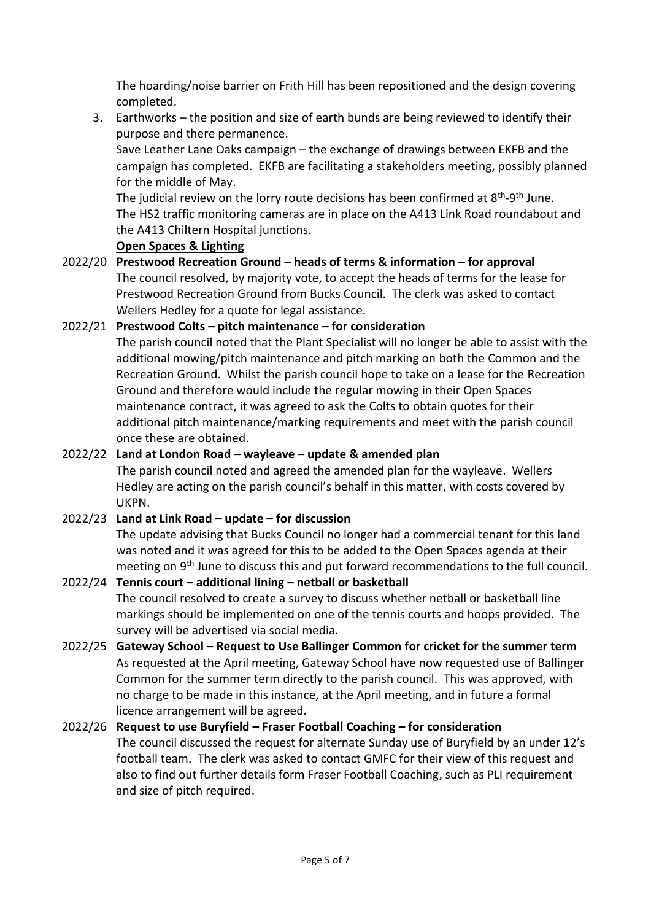The hoarding/noise barrier on Frith Hill has been repositioned and the design covering completed.

3. Earthworks – the position and size of earth bunds are being reviewed to identify their purpose and there permanence.

Save Leather Lane Oaks campaign – the exchange of drawings between EKFB and the campaign has completed. EKFB are facilitating a stakeholders meeting, possibly planned for the middle of May.

The judicial review on the lorry route decisions has been confirmed at 8<sup>th</sup>-9<sup>th</sup> June. The HS2 traffic monitoring cameras are in place on the A413 Link Road roundabout and the A413 Chiltern Hospital junctions.

#### **Open Spaces & Lighting**

2022/20 **Prestwood Recreation Ground – heads of terms & information – for approval** The council resolved, by majority vote, to accept the heads of terms for the lease for Prestwood Recreation Ground from Bucks Council. The clerk was asked to contact Wellers Hedley for a quote for legal assistance.

# 2022/21 **Prestwood Colts – pitch maintenance – for consideration**

The parish council noted that the Plant Specialist will no longer be able to assist with the additional mowing/pitch maintenance and pitch marking on both the Common and the Recreation Ground. Whilst the parish council hope to take on a lease for the Recreation Ground and therefore would include the regular mowing in their Open Spaces maintenance contract, it was agreed to ask the Colts to obtain quotes for their additional pitch maintenance/marking requirements and meet with the parish council once these are obtained.

# 2022/22 **Land at London Road – wayleave – update & amended plan**

The parish council noted and agreed the amended plan for the wayleave. Wellers Hedley are acting on the parish council's behalf in this matter, with costs covered by UKPN.

# 2022/23 **Land at Link Road – update – for discussion**

The update advising that Bucks Council no longer had a commercial tenant for this land was noted and it was agreed for this to be added to the Open Spaces agenda at their meeting on 9<sup>th</sup> June to discuss this and put forward recommendations to the full council.

# 2022/24 **Tennis court – additional lining – netball or basketball**

The council resolved to create a survey to discuss whether netball or basketball line markings should be implemented on one of the tennis courts and hoops provided. The survey will be advertised via social media.

2022/25 **Gateway School – Request to Use Ballinger Common for cricket for the summer term** As requested at the April meeting, Gateway School have now requested use of Ballinger Common for the summer term directly to the parish council. This was approved, with no charge to be made in this instance, at the April meeting, and in future a formal licence arrangement will be agreed.

# 2022/26 **Request to use Buryfield – Fraser Football Coaching – for consideration**

The council discussed the request for alternate Sunday use of Buryfield by an under 12's football team. The clerk was asked to contact GMFC for their view of this request and also to find out further details form Fraser Football Coaching, such as PLI requirement and size of pitch required.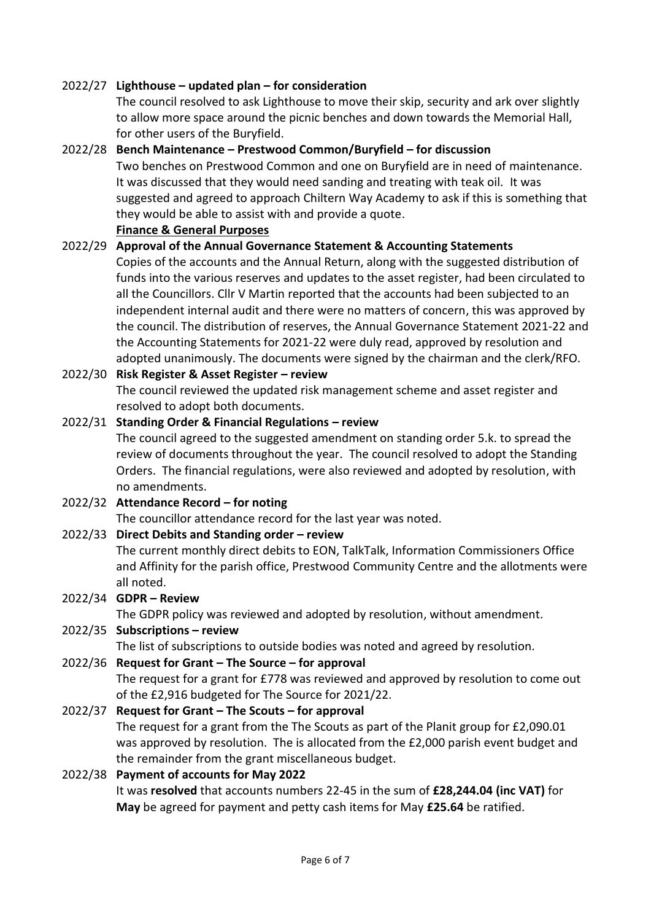#### 2022/27 **Lighthouse – updated plan – for consideration**

The council resolved to ask Lighthouse to move their skip, security and ark over slightly to allow more space around the picnic benches and down towards the Memorial Hall, for other users of the Buryfield.

#### 2022/28 **Bench Maintenance – Prestwood Common/Buryfield – for discussion**

Two benches on Prestwood Common and one on Buryfield are in need of maintenance. It was discussed that they would need sanding and treating with teak oil. It was suggested and agreed to approach Chiltern Way Academy to ask if this is something that they would be able to assist with and provide a quote.

**Finance & General Purposes**

# 2022/29 **Approval of the Annual Governance Statement & Accounting Statements**

Copies of the accounts and the Annual Return, along with the suggested distribution of funds into the various reserves and updates to the asset register, had been circulated to all the Councillors. Cllr V Martin reported that the accounts had been subjected to an independent internal audit and there were no matters of concern, this was approved by the council. The distribution of reserves, the Annual Governance Statement 2021-22 and the Accounting Statements for 2021-22 were duly read, approved by resolution and adopted unanimously. The documents were signed by the chairman and the clerk/RFO.

# 2022/30 **Risk Register & Asset Register – review**

The council reviewed the updated risk management scheme and asset register and resolved to adopt both documents.

# 2022/31 **Standing Order & Financial Regulations – review**

The council agreed to the suggested amendment on standing order 5.k. to spread the review of documents throughout the year. The council resolved to adopt the Standing Orders. The financial regulations, were also reviewed and adopted by resolution, with no amendments.

# 2022/32 **Attendance Record – for noting**

The councillor attendance record for the last year was noted.

# 2022/33 **Direct Debits and Standing order – review**

The current monthly direct debits to EON, TalkTalk, Information Commissioners Office and Affinity for the parish office, Prestwood Community Centre and the allotments were all noted.

# 2022/34 **GDPR – Review**

The GDPR policy was reviewed and adopted by resolution, without amendment.

# 2022/35 **Subscriptions – review**

The list of subscriptions to outside bodies was noted and agreed by resolution.

# 2022/36 **Request for Grant – The Source – for approval**

The request for a grant for £778 was reviewed and approved by resolution to come out of the £2,916 budgeted for The Source for 2021/22.

# 2022/37 **Request for Grant – The Scouts – for approval**

The request for a grant from the The Scouts as part of the Planit group for £2,090.01 was approved by resolution. The is allocated from the £2,000 parish event budget and the remainder from the grant miscellaneous budget.

# 2022/38 **Payment of accounts for May 2022**

It was **resolved** that accounts numbers 22-45 in the sum of **£28,244.04 (inc VAT)** for **May** be agreed for payment and petty cash items for May **£25.64** be ratified.